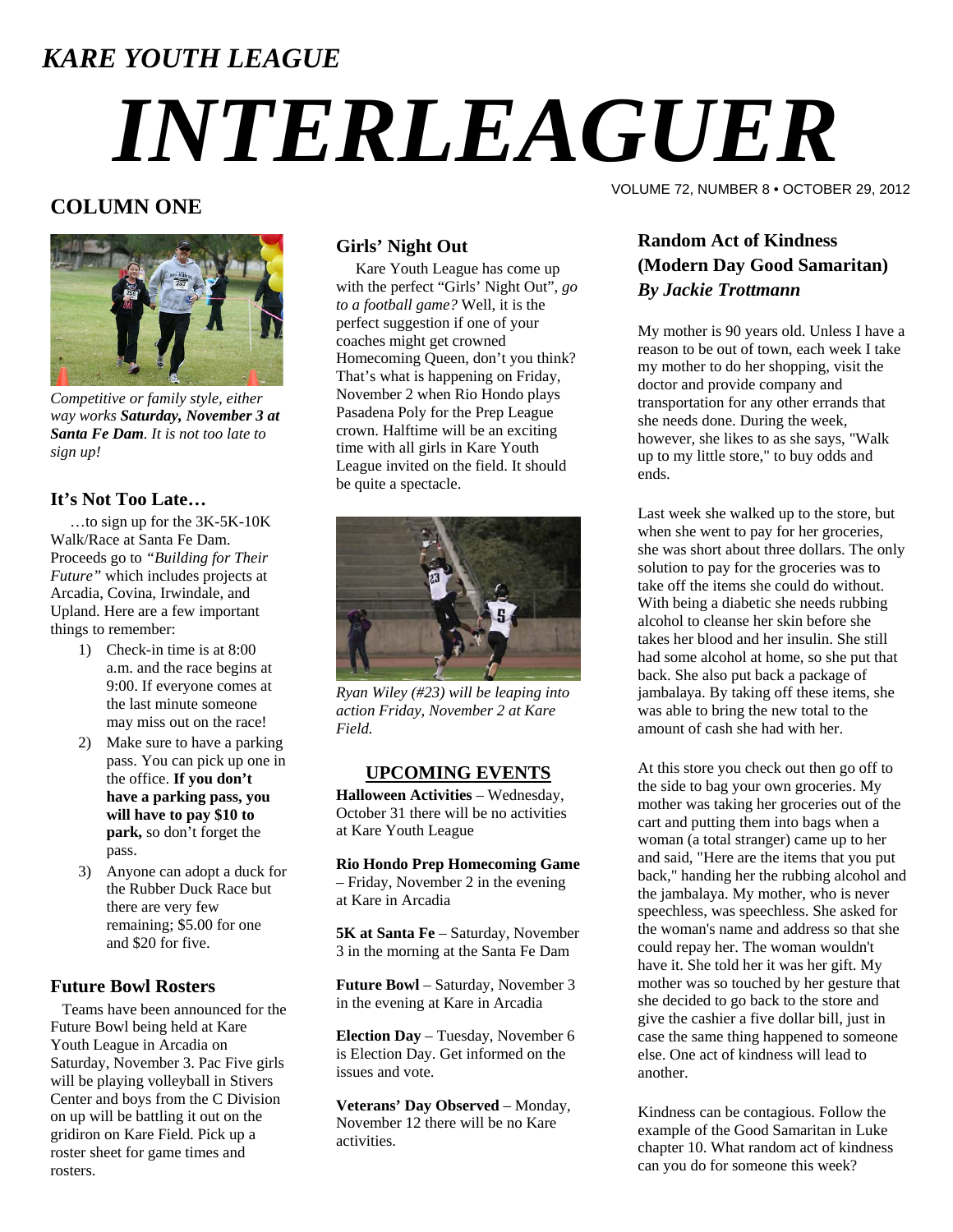### *KARE YOUTH LEAGUE*

# *INTERLEAGUER*

#### **COLUMN ONE**



*Competitive or family style, either way works Saturday, November 3 at Santa Fe Dam. It is not too late to sign up!* 

#### **It's Not Too Late…**

 …to sign up for the 3K-5K-10K Walk/Race at Santa Fe Dam. Proceeds go to *"Building for Their Future"* which includes projects at Arcadia, Covina, Irwindale, and Upland. Here are a few important things to remember:

- 1) Check-in time is at 8:00 a.m. and the race begins at 9:00. If everyone comes at the last minute someone may miss out on the race!
- 2) Make sure to have a parking pass. You can pick up one in the office. **If you don't have a parking pass, you will have to pay \$10 to park,** so don't forget the pass.
- 3) Anyone can adopt a duck for the Rubber Duck Race but there are very few remaining; \$5.00 for one and \$20 for five.

#### **Future Bowl Rosters**

 Teams have been announced for the Future Bowl being held at Kare Youth League in Arcadia on Saturday, November 3. Pac Five girls will be playing volleyball in Stivers Center and boys from the C Division on up will be battling it out on the gridiron on Kare Field. Pick up a roster sheet for game times and rosters.

#### **Girls' Night Out**

 Kare Youth League has come up with the perfect "Girls' Night Out", *go to a football game?* Well, it is the perfect suggestion if one of your coaches might get crowned Homecoming Queen, don't you think? That's what is happening on Friday, November 2 when Rio Hondo plays Pasadena Poly for the Prep League crown. Halftime will be an exciting time with all girls in Kare Youth League invited on the field. It should be quite a spectacle.



*Ryan Wiley (#23) will be leaping into action Friday, November 2 at Kare Field.* 

#### **UPCOMING EVENTS**

**Halloween Activities** – Wednesday, October 31 there will be no activities at Kare Youth League

**Rio Hondo Prep Homecoming Game** – Friday, November 2 in the evening at Kare in Arcadia

**5K at Santa Fe** – Saturday, November 3 in the morning at the Santa Fe Dam

**Future Bowl** – Saturday, November 3 in the evening at Kare in Arcadia

**Election Day** – Tuesday, November 6 is Election Day. Get informed on the issues and vote.

**Veterans' Day Observed** – Monday, November 12 there will be no Kare activities.

VOLUME 72, NUMBER 8 • OCTOBER 29, 2012

#### **Random Act of Kindness (Modern Day Good Samaritan)**  *By Jackie Trottmann*

My mother is 90 years old. Unless I have a reason to be out of town, each week I take my mother to do her shopping, visit the doctor and provide company and transportation for any other errands that she needs done. During the week, however, she likes to as she says, "Walk up to my little store," to buy odds and ends.

Last week she walked up to the store, but when she went to pay for her groceries, she was short about three dollars. The only solution to pay for the groceries was to take off the items she could do without. With being a diabetic she needs rubbing alcohol to cleanse her skin before she takes her blood and her insulin. She still had some alcohol at home, so she put that back. She also put back a package of jambalaya. By taking off these items, she was able to bring the new total to the amount of cash she had with her.

At this store you check out then go off to the side to bag your own groceries. My mother was taking her groceries out of the cart and putting them into bags when a woman (a total stranger) came up to her and said, "Here are the items that you put back," handing her the rubbing alcohol and the jambalaya. My mother, who is never speechless, was speechless. She asked for the woman's name and address so that she could repay her. The woman wouldn't have it. She told her it was her gift. My mother was so touched by her gesture that she decided to go back to the store and give the cashier a five dollar bill, just in case the same thing happened to someone else. One act of kindness will lead to another.

Kindness can be contagious. Follow the example of the Good Samaritan in Luke chapter 10. What random act of kindness can you do for someone this week?